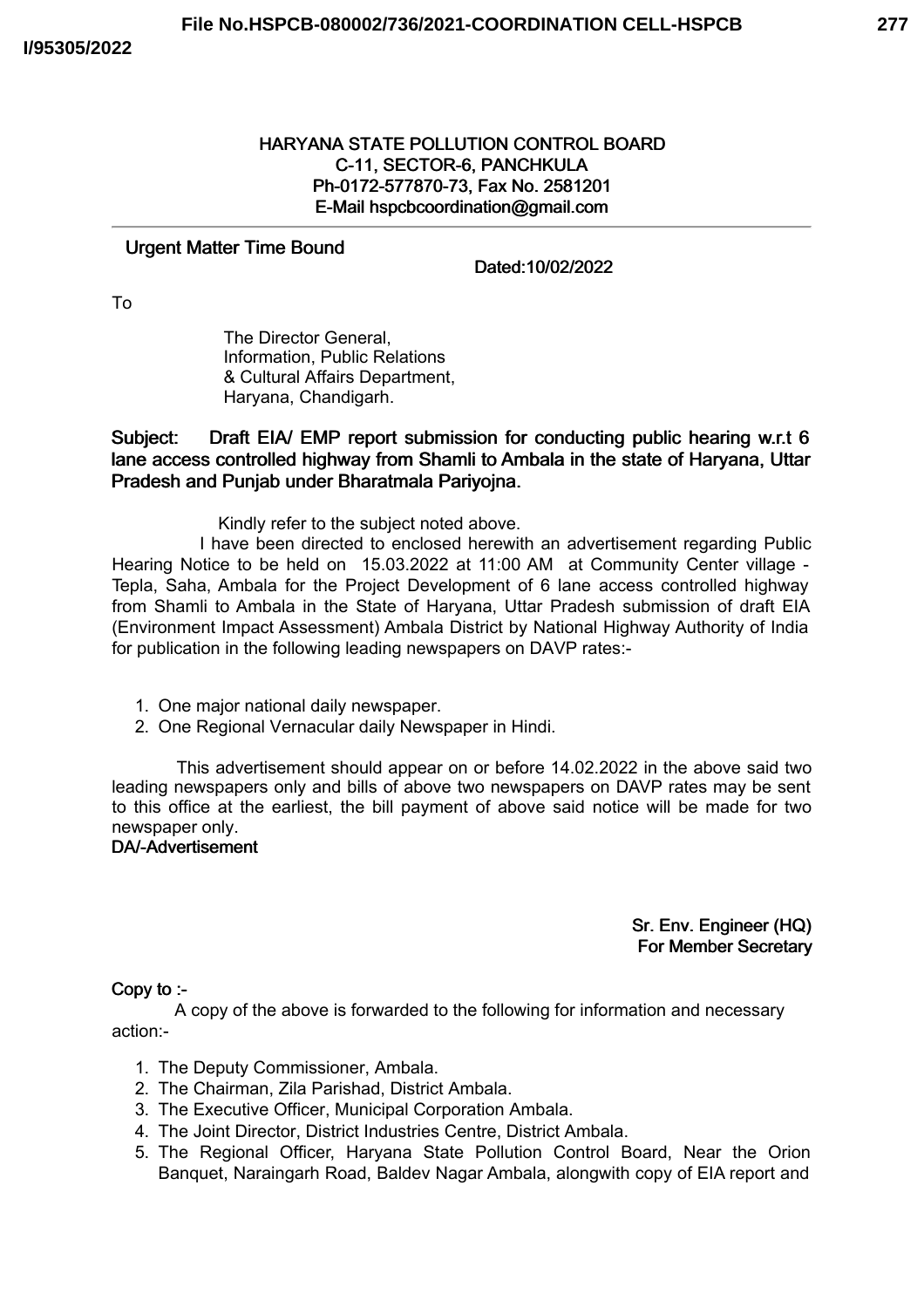# HARYANA STATE POLLUTION CONTROL BOARD C-11, SECTOR-6, PANCHKULA Ph-0172-577870-73, Fax No. 2581201 E-Mail hspcbcoordination@gmail.com

### Urgent Matter Time Bound

Dated:10/02/2022

To

The Director General, Information, Public Relations & Cultural Affairs Department, Haryana, Chandigarh.

Subject: Draft EIA/ EMP report submission for conducting public hearing w.r.t 6 lane access controlled highway from Shamli to Ambala in the state of Haryana, Uttar Pradesh and Punjab under Bharatmala Pariyojna.

Kindly refer to the subject noted above.

I have been directed to enclosed herewith an advertisement regarding Public Hearing Notice to be held on 15.03.2022 at 11:00 AM at Community Center village - Tepla, Saha, Ambala for the Project Development of 6 lane access controlled highway from Shamli to Ambala in the State of Haryana, Uttar Pradesh submission of draft EIA (Environment Impact Assessment) Ambala District by National Highway Authority of India for publication in the following leading newspapers on DAVP rates:-

- 1. One major national daily newspaper.
- 2. One Regional Vernacular daily Newspaper in Hindi.

This advertisement should appear on or before 14.02.2022 in the above said two leading newspapers only and bills of above two newspapers on DAVP rates may be sent to this office at the earliest, the bill payment of above said notice will be made for two newspaper only.

# DA/-Advertisement

Sr. Env. Engineer (HQ) For Member Secretary

#### Copy to :-

A copy of the above is forwarded to the following for information and necessary action:-

- 1. The Deputy Commissioner, Ambala.
- 2. The Chairman, Zila Parishad, District Ambala.
- 3. The Executive Officer, Municipal Corporation Ambala.
- 4. The Joint Director, District Industries Centre, District Ambala.
- 5. The Regional Officer, Haryana State Pollution Control Board, Near the Orion Banquet, Naraingarh Road, Baldev Nagar Ambala, alongwith copy of EIA report and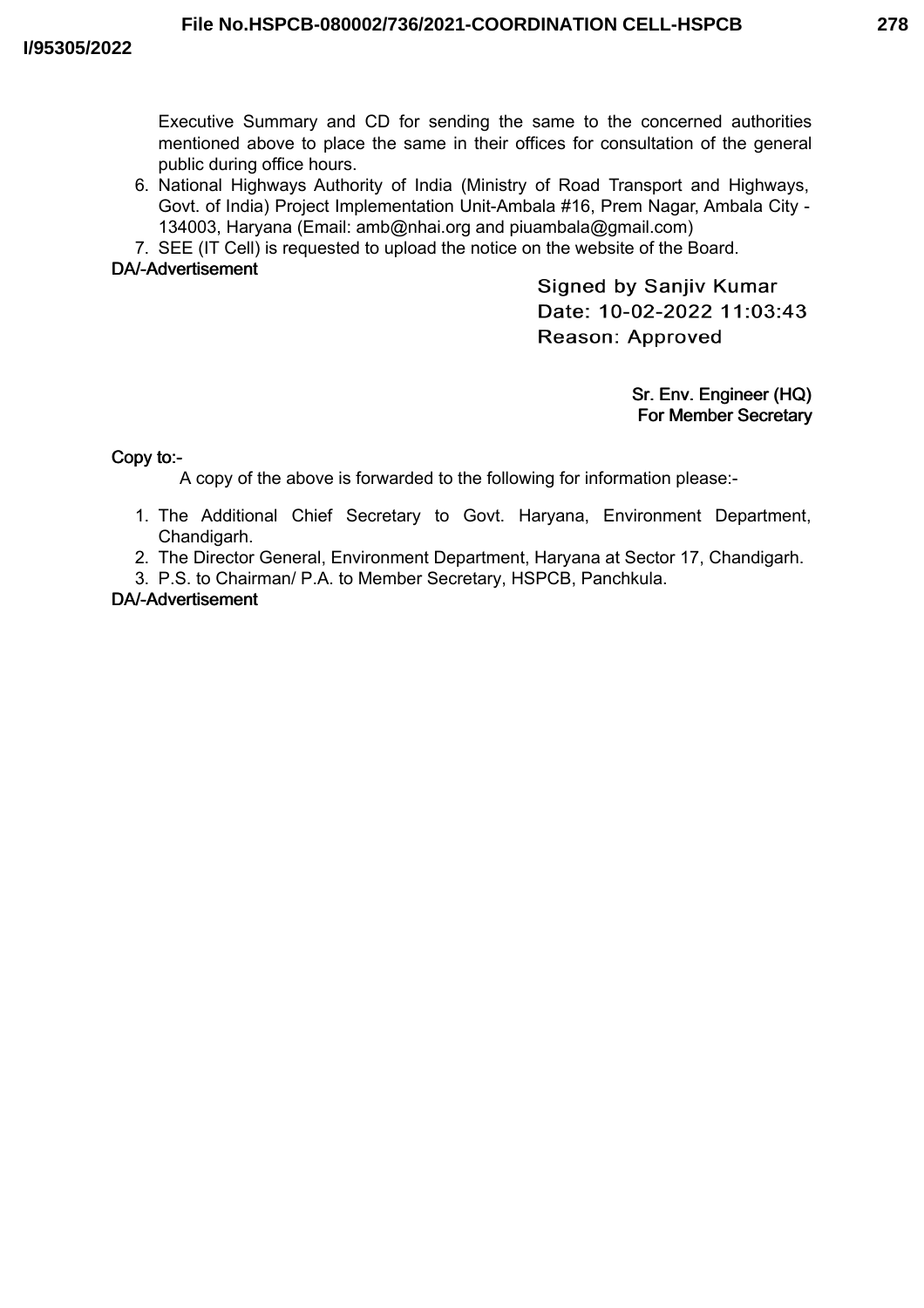**278**

Executive Summary and CD for sending the same to the concerned authorities mentioned above to place the same in their offices for consultation of the general public during office hours.

- 6. National Highways Authority of India (Ministry of Road Transport and Highways, Govt. of India) Project Implementation Unit-Ambala #16, Prem Nagar, Ambala City - 134003, Haryana (Email: amb@nhai.org and piuambala@gmail.com)
- 7. SEE (IT Cell) is requested to upload the notice on the website of the Board.

# DA/-Advertisement

**Signed by Sanjiv Kumar** Date: 10-02-2022 11:03:43 Reason: Approved

> Sr. Env. Engineer (HQ) For Member Secretary

Copy to:-

A copy of the above is forwarded to the following for information please:-

- 1. The Additional Chief Secretary to Govt. Haryana, Environment Department, Chandigarh.
- 2. The Director General, Environment Department, Haryana at Sector 17, Chandigarh.
- 3. P.S. to Chairman/ P.A. to Member Secretary, HSPCB, Panchkula.

# DA/-Advertisement